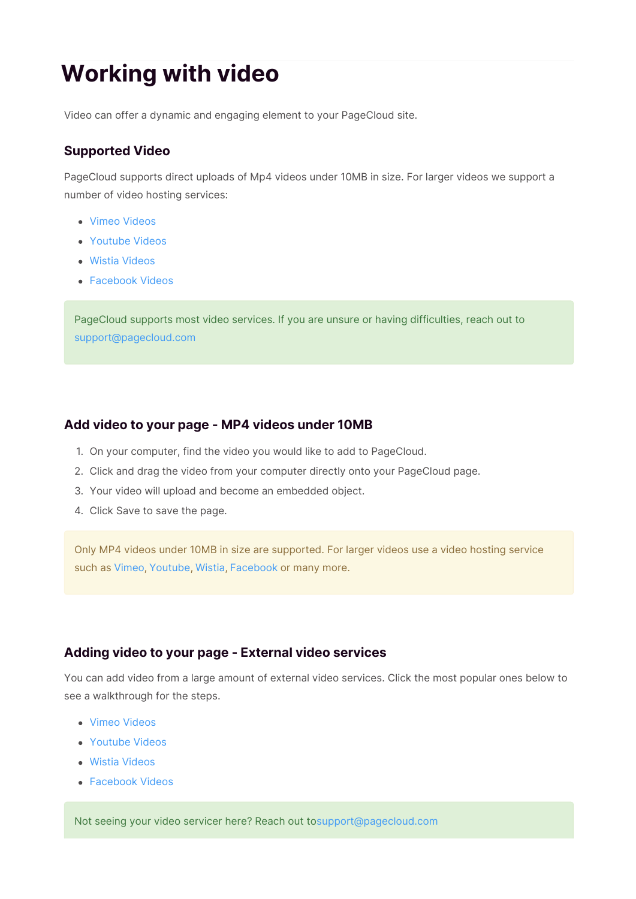# **Working with video**

Video can offer a dynamic and engaging element to your PageCloud site.

# **Supported Video**

PageCloud supports direct uploads of Mp4 videos under 10MB in size. For larger videos we support a number of video hosting services:

- Vimeo Videos
- Youtube Videos
- Wistia Videos
- Facebook Videos

PageCloud supports most video services. If you are unsure or having difficulties, reach out to support@pagecloud.com

# **Add video to your page - MP4 videos under 10MB**

- 1. On your computer, find the video you would like to add to PageCloud.
- 2. Click and drag the video from your computer directly onto your PageCloud page.
- 3. Your video will upload and become an embedded object.
- 4. Click Save to save the page.

Only MP4 videos under 10MB in size are supported. For larger videos use a video hosting service such as Vimeo, Youtube, Wistia, Facebook or many more.

# **Adding video to your page - External video services**

You can add video from a large amount of external video services. Click the most popular ones below to see a walkthrough for the steps.

- Vimeo Videos
- Youtube Videos
- Wistia Videos
- Facebook Videos

Not seeing your video servicer here? Reach out tosupport@pagecloud.com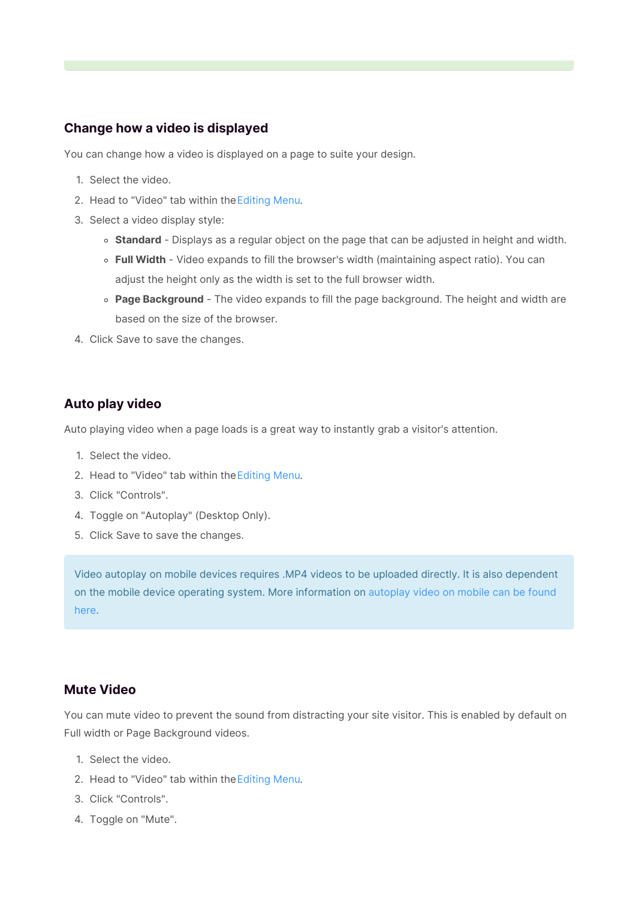# **Change how a video is displayed**

You can change how a video is displayed on a page to suite your design.

- 1. Select the video.
- 2. Head to "Video" tab within theEditing Menu.
- 3. Select a video display style:
	- **Standard** Displays as a regular object on the page that can be adjusted in height and width.
	- **Full Width** Video expands to fill the browser's width (maintaining aspect ratio). You can adjust the height only as the width is set to the full browser width.
	- **Page Background** The video expands to fill the page background. The height and width are based on the size of the browser.
- 4. Click Save to save the changes.

### **Auto play video**

Auto playing video when a page loads is a great way to instantly grab a visitor's attention.

- 1. Select the video.
- 2. Head to "Video" tab within theEditing Menu.
- 3. Click "Controls".
- 4. Toggle on "Autoplay" (Desktop Only).
- 5. Click Save to save the changes.

Video autoplay on mobile devices requires .MP4 videos to be uploaded directly. It is also dependent on the mobile device operating system. More information on autoplay video on mobile can be found here.

### **Mute Video**

You can mute video to prevent the sound from distracting your site visitor. This is enabled by default on Full width or Page Background videos.

- 1. Select the video.
- 2. Head to "Video" tab within theEditing Menu.
- 3. Click "Controls".
- 4. Toggle on "Mute".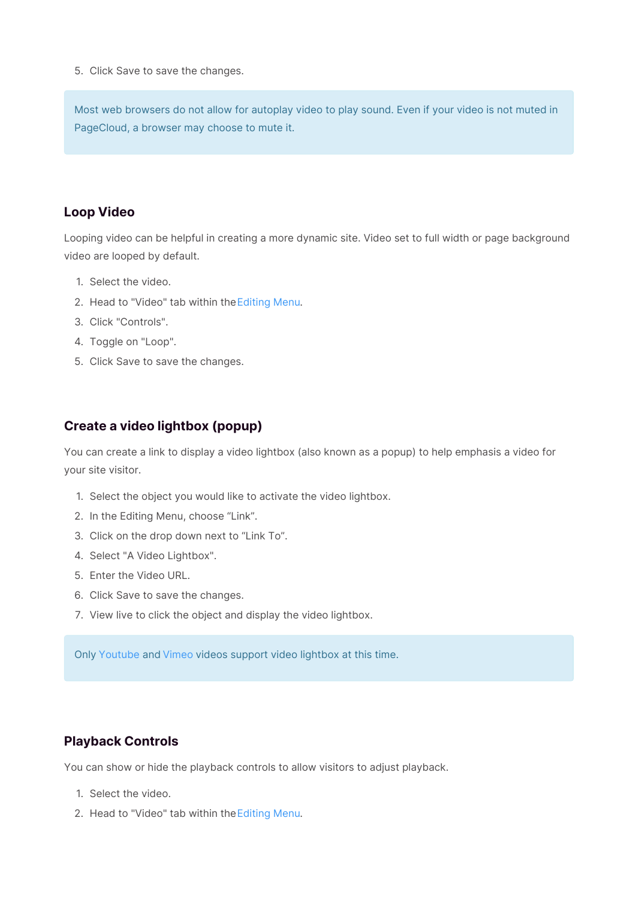5. Click Save to save the changes.

Most web browsers do not allow for autoplay video to play sound. Even if your video is not muted in PageCloud, a browser may choose to mute it.

#### **Loop Video**

Looping video can be helpful in creating a more dynamic site. Video set to full width or page background video are looped by default.

- 1. Select the video.
- 2. Head to "Video" tab within theEditing Menu.
- 3. Click "Controls".
- 4. Toggle on "Loop".
- 5. Click Save to save the changes.

### **Create a video lightbox (popup)**

You can create a link to display a video lightbox (also known as a popup) to help emphasis a video for your site visitor.

- 1. Select the object you would like to activate the video lightbox.
- 2. In the Editing Menu, choose "Link".
- 3. Click on the drop down next to "Link To".
- 4. Select "A Video Lightbox".
- 5. Enter the Video URL.
- 6. Click Save to save the changes.
- 7. View live to click the object and display the video lightbox.

Only Youtube and Vimeo videos support video lightbox at this time.

#### **Playback Controls**

You can show or hide the playback controls to allow visitors to adjust playback.

- 1. Select the video.
- 2. Head to "Video" tab within theEditing Menu.